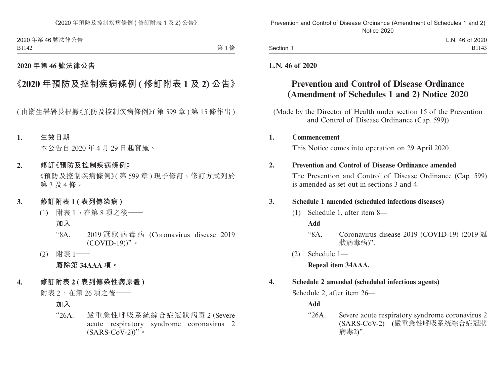2020 年第 46 號法律公告 B1142

第1條

## **2020 年第 46 號法律公告**

# **《2020 年預防及控制疾病條例 ( 修訂附表 1 及 2) 公告》**

( 由衞生署署長根據《預防及控制疾病條例》( 第 599 章 ) 第 15 條作出 )

### **1. 生效日期**

本公告自 2020 年 4 月 29 日起實施。

#### **2. 修訂《預防及控制疾病條例》**

《預防及控制疾病條例》( 第 599 章 ) 現予修訂,修訂方式列於 第 3 及 4 條。

- **3. 修訂附表 1 ( 表列傳染病 )**
	- (1) 附表 1,在第 8 項之後——
		- **加入**
		- "8A.  $2019$  冠 狀 病 毒 病 (Coronavirus disease 2019)  $(COVID-19)$ "。
	- (2) 附表 1—— **廢除第 34AAA 項。**
- **4. 修訂附表 2 ( 表列傳染性病原體 )**

附表 2,在第 26 項之後——

## **加入**

"26A. 嚴重急性呼吸系統綜合症冠狀病毒 2 (Severe acute respiratory syndrome coronavirus 2  $(SARS-CoV-2)$ <sup>"</sup>。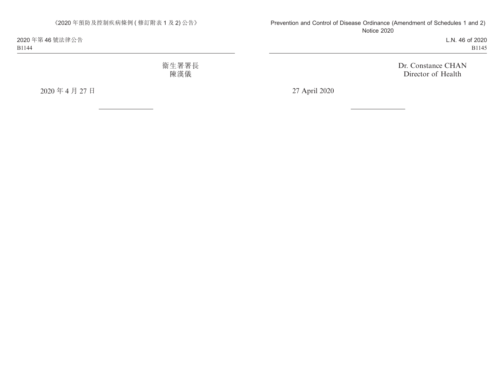《2020 年預防及控制疾病條例 ( 修訂附表 1 及 2) 公告》

2020 年第 46 號法律公告 B1144

> 衞生署署長 陳漢儀

2020 年 4 月 27 日